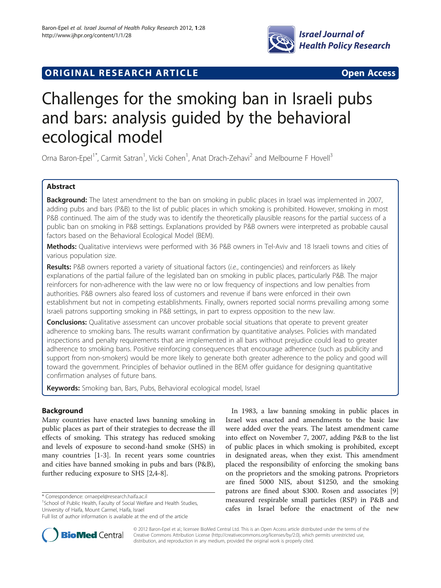

# **ORIGINAL RESEARCH ARTICLE CONSUMING ACCESS**

# Challenges for the smoking ban in Israeli pubs and bars: analysis guided by the behavioral ecological model

Orna Baron-Epel<sup>1\*</sup>, Carmit Satran<sup>1</sup>, Vicki Cohen<sup>1</sup>, Anat Drach-Zehavi<sup>2</sup> and Melbourne F Hovell<sup>3</sup>

# Abstract

Background: The latest amendment to the ban on smoking in public places in Israel was implemented in 2007, adding pubs and bars (P&B) to the list of public places in which smoking is prohibited. However, smoking in most P&B continued. The aim of the study was to identify the theoretically plausible reasons for the partial success of a public ban on smoking in P&B settings. Explanations provided by P&B owners were interpreted as probable causal factors based on the Behavioral Ecological Model (BEM).

Methods: Qualitative interviews were performed with 36 P&B owners in Tel-Aviv and 18 Israeli towns and cities of various population size.

Results: P&B owners reported a variety of situational factors (i.e., contingencies) and reinforcers as likely explanations of the partial failure of the legislated ban on smoking in public places, particularly P&B. The major reinforcers for non-adherence with the law were no or low frequency of inspections and low penalties from authorities. P&B owners also feared loss of customers and revenue if bans were enforced in their own establishment but not in competing establishments. Finally, owners reported social norms prevailing among some Israeli patrons supporting smoking in P&B settings, in part to express opposition to the new law.

**Conclusions:** Qualitative assessment can uncover probable social situations that operate to prevent greater adherence to smoking bans. The results warrant confirmation by quantitative analyses. Policies with mandated inspections and penalty requirements that are implemented in all bars without prejudice could lead to greater adherence to smoking bans. Positive reinforcing consequences that encourage adherence (such as publicity and support from non-smokers) would be more likely to generate both greater adherence to the policy and good will toward the government. Principles of behavior outlined in the BEM offer guidance for designing quantitative confirmation analyses of future bans.

Keywords: Smoking ban, Bars, Pubs, Behavioral ecological model, Israel

# Background

Many countries have enacted laws banning smoking in public places as part of their strategies to decrease the ill effects of smoking. This strategy has reduced smoking and levels of exposure to second-hand smoke (SHS) in many countries [[1-3](#page-8-0)]. In recent years some countries and cities have banned smoking in pubs and bars (P&B), further reducing exposure to SHS [\[2,4](#page-8-0)-[8\]](#page-8-0).

<sup>1</sup>School of Public Health, Faculty of Social Welfare and Health Studies, University of Haifa, Mount Carmel, Haifa, Israel

In 1983, a law banning smoking in public places in Israel was enacted and amendments to the basic law were added over the years. The latest amendment came into effect on November 7, 2007, adding P&B to the list of public places in which smoking is prohibited, except in designated areas, when they exist. This amendment placed the responsibility of enforcing the smoking bans on the proprietors and the smoking patrons. Proprietors are fined 5000 NIS, about \$1250, and the smoking patrons are fined about \$300. Rosen and associates [\[9](#page-8-0)] measured respirable small particles (RSP) in P&B and cafes in Israel before the enactment of the new



© 2012 Baron-Epel et al.; licensee BioMed Central Ltd. This is an Open Access article distributed under the terms of the Creative Commons Attribution License (<http://creativecommons.org/licenses/by/2.0>), which permits unrestricted use, distribution, and reproduction in any medium, provided the original work is properly cited.

<sup>\*</sup> Correspondence: [ornaepel@research.haifa.ac.il](mailto:ornaepel@research.haifa.ac.il) <sup>1</sup>

Full list of author information is available at the end of the article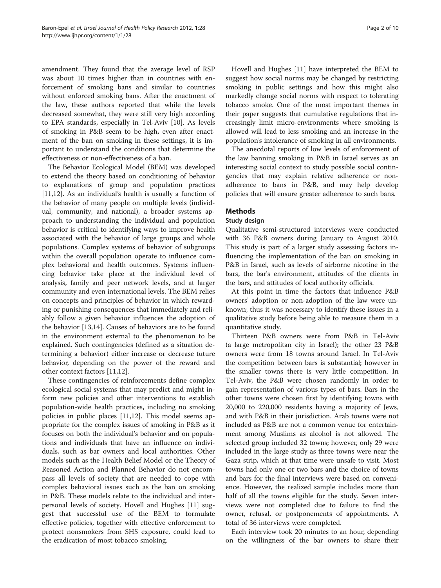amendment. They found that the average level of RSP was about 10 times higher than in countries with enforcement of smoking bans and similar to countries without enforced smoking bans. After the enactment of the law, these authors reported that while the levels decreased somewhat, they were still very high according to EPA standards, especially in Tel-Aviv [[10\]](#page-8-0). As levels of smoking in P&B seem to be high, even after enactment of the ban on smoking in these settings, it is important to understand the conditions that determine the effectiveness or non-effectiveness of a ban.

The Behavior Ecological Model (BEM) was developed to extend the theory based on conditioning of behavior to explanations of group and population practices [[11,12\]](#page-8-0). As an individual's health is usually a function of the behavior of many people on multiple levels (individual, community, and national), a broader systems approach to understanding the individual and population behavior is critical to identifying ways to improve health associated with the behavior of large groups and whole populations. Complex systems of behavior of subgroups within the overall population operate to influence complex behavioral and health outcomes. Systems influencing behavior take place at the individual level of analysis, family and peer network levels, and at larger community and even international levels. The BEM relies on concepts and principles of behavior in which rewarding or punishing consequences that immediately and reliably follow a given behavior influences the adoption of the behavior [[13](#page-8-0),[14](#page-9-0)]. Causes of behaviors are to be found in the environment external to the phenomenon to be explained. Such contingencies (defined as a situation determining a behavior) either increase or decrease future behavior, depending on the power of the reward and other context factors [\[11,12](#page-8-0)].

These contingencies of reinforcements define complex ecological social systems that may predict and might inform new policies and other interventions to establish population-wide health practices, including no smoking policies in public places [\[11,12](#page-8-0)]. This model seems appropriate for the complex issues of smoking in P&B as it focuses on both the individual's behavior and on populations and individuals that have an influence on individuals, such as bar owners and local authorities. Other models such as the Health Belief Model or the Theory of Reasoned Action and Planned Behavior do not encompass all levels of society that are needed to cope with complex behavioral issues such as the ban on smoking in P&B. These models relate to the individual and interpersonal levels of society. Hovell and Hughes [\[11\]](#page-8-0) suggest that successful use of the BEM to formulate effective policies, together with effective enforcement to protect nonsmokers from SHS exposure, could lead to the eradication of most tobacco smoking.

Hovell and Hughes [\[11](#page-8-0)] have interpreted the BEM to suggest how social norms may be changed by restricting smoking in public settings and how this might also markedly change social norms with respect to tolerating tobacco smoke. One of the most important themes in their paper suggests that cumulative regulations that increasingly limit micro-environments where smoking is allowed will lead to less smoking and an increase in the population's intolerance of smoking in all environments.

The anecdotal reports of low levels of enforcement of the law banning smoking in P&B in Israel serves as an interesting social context to study possible social contingencies that may explain relative adherence or nonadherence to bans in P&B, and may help develop policies that will ensure greater adherence to such bans.

# **Methods**

## Study design

Qualitative semi-structured interviews were conducted with 36 P&B owners during January to August 2010. This study is part of a larger study assessing factors influencing the implementation of the ban on smoking in P&B in Israel, such as levels of airborne nicotine in the bars, the bar's environment, attitudes of the clients in the bars, and attitudes of local authority officials.

At this point in time the factors that influence P&B owners' adoption or non-adoption of the law were unknown; thus it was necessary to identify these issues in a qualitative study before being able to measure them in a quantitative study.

Thirteen P&B owners were from P&B in Tel-Aviv (a large metropolitan city in Israel); the other 23 P&B owners were from 18 towns around Israel. In Tel-Aviv the competition between bars is substantial; however in the smaller towns there is very little competition. In Tel-Aviv, the P&B were chosen randomly in order to gain representation of various types of bars. Bars in the other towns were chosen first by identifying towns with 20,000 to 220,000 residents having a majority of Jews, and with P&B in their jurisdiction. Arab towns were not included as P&B are not a common venue for entertainment among Muslims as alcohol is not allowed. The selected group included 32 towns; however, only 29 were included in the large study as three towns were near the Gaza strip, which at that time were unsafe to visit. Most towns had only one or two bars and the choice of towns and bars for the final interviews were based on convenience. However, the realized sample includes more than half of all the towns eligible for the study. Seven interviews were not completed due to failure to find the owner, refusal, or postponements of appointments. A total of 36 interviews were completed.

Each interview took 20 minutes to an hour, depending on the willingness of the bar owners to share their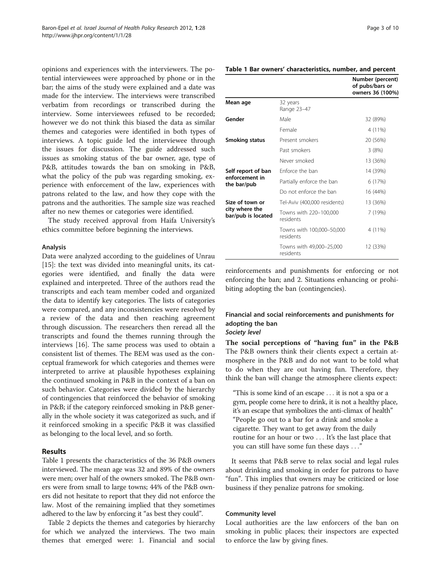opinions and experiences with the interviewers. The potential interviewees were approached by phone or in the bar; the aims of the study were explained and a date was made for the interview. The interviews were transcribed verbatim from recordings or transcribed during the interview. Some interviewees refused to be recorded; however we do not think this biased the data as similar themes and categories were identified in both types of interviews. A topic guide led the interviewee through the issues for discussion. The guide addressed such issues as smoking status of the bar owner, age, type of P&B, attitudes towards the ban on smoking in P&B, what the policy of the pub was regarding smoking, experience with enforcement of the law, experiences with patrons related to the law, and how they cope with the patrons and the authorities. The sample size was reached after no new themes or categories were identified.

The study received approval from Haifa University's ethics committee before beginning the interviews.

#### Analysis

Data were analyzed according to the guidelines of Unrau [[15\]](#page-9-0): the text was divided into meaningful units, its categories were identified, and finally the data were explained and interpreted. Three of the authors read the transcripts and each team member coded and organized the data to identify key categories. The lists of categories were compared, and any inconsistencies were resolved by a review of the data and then reaching agreement through discussion. The researchers then reread all the transcripts and found the themes running through the interviews [\[16](#page-9-0)]. The same process was used to obtain a consistent list of themes. The BEM was used as the conceptual framework for which categories and themes were interpreted to arrive at plausible hypotheses explaining the continued smoking in P&B in the context of a ban on such behavior. Categories were divided by the hierarchy of contingencies that reinforced the behavior of smoking in P&B; if the category reinforced smoking in P&B generally in the whole society it was categorized as such, and if it reinforced smoking in a specific P&B it was classified as belonging to the local level, and so forth.

#### Results

Table 1 presents the characteristics of the 36 P&B owners interviewed. The mean age was 32 and 89% of the owners were men; over half of the owners smoked. The P&B owners were from small to large towns; 44% of the P&B owners did not hesitate to report that they did not enforce the law. Most of the remaining implied that they sometimes adhered to the law by enforcing it "as best they could".

Table [2](#page-3-0) depicts the themes and categories by hierarchy for which we analyzed the interviews. The two main themes that emerged were: 1. Financial and social

|                                                         |                                        | Number (percent)<br>of pubs/bars or<br>owners 36 (100%) |
|---------------------------------------------------------|----------------------------------------|---------------------------------------------------------|
| Mean age                                                | 32 years<br>Range 23-47                |                                                         |
| Gender                                                  | Male                                   | 32 (89%)                                                |
|                                                         | Female                                 | 4 (11%)                                                 |
| <b>Smoking status</b>                                   | Present smokers                        | 20 (56%)                                                |
|                                                         | Past smokers                           | 3(8%)                                                   |
|                                                         | Never smoked                           | 13 (36%)                                                |
| Self report of ban<br>enforcement in<br>the bar/pub     | Enforce the ban                        | 14 (39%)                                                |
|                                                         | Partially enforce the ban              | 6 (17%)                                                 |
|                                                         | Do not enforce the ban                 | 16 (44%)                                                |
| Size of town or<br>city where the<br>bar/pub is located | Tel-Aviv (400.000 residents)           | 13 (36%)                                                |
|                                                         | Towns with 220-100,000<br>residents    | 7 (19%)                                                 |
|                                                         | Towns with 100,000-50,000<br>residents | 4 (11%)                                                 |
|                                                         | Towns with 49,000–25,000<br>residents  | 12 (33%)                                                |

Table 1 Bar owners' characteristics, number, and percent

reinforcements and punishments for enforcing or not enforcing the ban; and 2. Situations enhancing or prohibiting adopting the ban (contingencies).

# Financial and social reinforcements and punishments for adopting the ban

# Society level

The social perceptions of "having fun" in the P&B The P&B owners think their clients expect a certain atmosphere in the P&B and do not want to be told what to do when they are out having fun. Therefore, they think the ban will change the atmosphere clients expect:

"This is some kind of an escape ... it is not a spa or a gym, people come here to drink, it is not a healthy place, it's an escape that symbolizes the anti-climax of health" "People go out to a bar for a drink and smoke a cigarette. They want to get away from the daily routine for an hour or two ... It's the last place that you can still have some fun these days ..."

It seems that P&B serve to relax social and legal rules about drinking and smoking in order for patrons to have "fun". This implies that owners may be criticized or lose business if they penalize patrons for smoking.

#### Community level

Local authorities are the law enforcers of the ban on smoking in public places; their inspectors are expected to enforce the law by giving fines.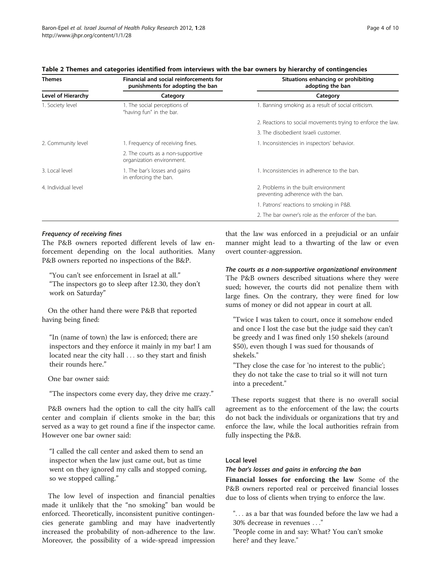| <b>Themes</b>       | Financial and social reinforcements for<br>punishments for adopting the ban | Situations enhancing or prohibiting<br>adopting the ban                    |  |
|---------------------|-----------------------------------------------------------------------------|----------------------------------------------------------------------------|--|
| Level of Hierarchy  | Category                                                                    | Category                                                                   |  |
| 1. Society level    | 1. The social perceptions of<br>"having fun" in the bar.                    | 1. Banning smoking as a result of social criticism.                        |  |
|                     |                                                                             | 2. Reactions to social movements trying to enforce the law.                |  |
|                     |                                                                             | 3. The disobedient Israeli customer.                                       |  |
| 2. Community level  | 1. Frequency of receiving fines.                                            | 1. Inconsistencies in inspectors' behavior.                                |  |
|                     | 2. The courts as a non-supportive<br>organization environment.              |                                                                            |  |
| 3. Local level      | 1. The bar's losses and gains<br>in enforcing the ban.                      | 1. Inconsistencies in adherence to the ban.                                |  |
| 4. Individual level |                                                                             | 2. Problems in the built environment<br>preventing adherence with the ban. |  |
|                     |                                                                             | 1. Patrons' reactions to smoking in P&B.                                   |  |
|                     |                                                                             | 2. The bar owner's role as the enforcer of the ban.                        |  |

#### <span id="page-3-0"></span>Table 2 Themes and categories identified from interviews with the bar owners by hierarchy of contingencies

#### Frequency of receiving fines

The P&B owners reported different levels of law enforcement depending on the local authorities. Many P&B owners reported no inspections of the B&P.

"You can't see enforcement in Israel at all." "The inspectors go to sleep after 12.30, they don't work on Saturday"

On the other hand there were P&B that reported having being fined:

"In (name of town) the law is enforced; there are inspectors and they enforce it mainly in my bar! I am located near the city hall ... so they start and finish their rounds here."

One bar owner said:

"The inspectors come every day, they drive me crazy."

P&B owners had the option to call the city hall's call center and complain if clients smoke in the bar; this served as a way to get round a fine if the inspector came. However one bar owner said:

"I called the call center and asked them to send an inspector when the law just came out, but as time went on they ignored my calls and stopped coming, so we stopped calling."

The low level of inspection and financial penalties made it unlikely that the "no smoking" ban would be enforced. Theoretically, inconsistent punitive contingencies generate gambling and may have inadvertently increased the probability of non-adherence to the law. Moreover, the possibility of a wide-spread impression

that the law was enforced in a prejudicial or an unfair manner might lead to a thwarting of the law or even overt counter-aggression.

The courts as a non-supportive organizational environment The P&B owners described situations where they were sued; however, the courts did not penalize them with large fines. On the contrary, they were fined for low sums of money or did not appear in court at all.

"Twice I was taken to court, once it somehow ended and once I lost the case but the judge said they can't be greedy and I was fined only 150 shekels (around \$50), even though I was sued for thousands of shekels."

"They close the case for 'no interest to the public'; they do not take the case to trial so it will not turn into a precedent."

These reports suggest that there is no overall social agreement as to the enforcement of the law; the courts do not back the individuals or organizations that try and enforce the law, while the local authorities refrain from fully inspecting the P&B.

#### Local level

#### The bar's losses and gains in enforcing the ban

Financial losses for enforcing the law Some of the P&B owners reported real or perceived financial losses due to loss of clients when trying to enforce the law.

"... as a bar that was founded before the law we had a 30% decrease in revenues ..."

"People come in and say: What? You can't smoke here? and they leave."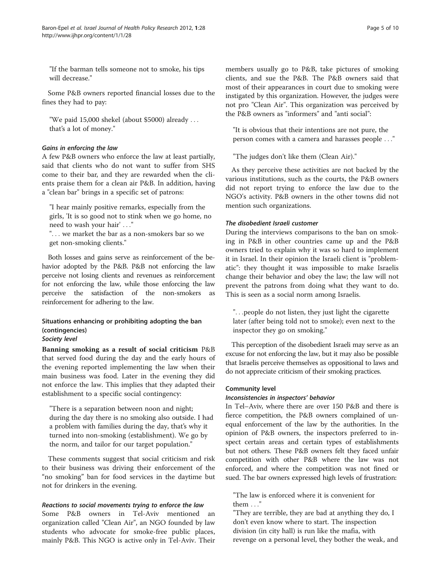"If the barman tells someone not to smoke, his tips will decrease."

Some P&B owners reported financial losses due to the fines they had to pay:

"We paid 15,000 shekel (about \$5000) already ... that's a lot of money."

## Gains in enforcing the law

A few P&B owners who enforce the law at least partially, said that clients who do not want to suffer from SHS come to their bar, and they are rewarded when the clients praise them for a clean air P&B. In addition, having a "clean bar" brings in a specific set of patrons:

"I hear mainly positive remarks, especially from the girls, 'It is so good not to stink when we go home, no need to wash your hair' ..."

"... we market the bar as a non-smokers bar so we get non-smoking clients."

Both losses and gains serve as reinforcement of the behavior adopted by the P&B. P&B not enforcing the law perceive not losing clients and revenues as reinforcement for not enforcing the law, while those enforcing the law perceive the satisfaction of the non-smokers as reinforcement for adhering to the law.

# Situations enhancing or prohibiting adopting the ban (contingencies) Society level

Banning smoking as a result of social criticism P&B that served food during the day and the early hours of the evening reported implementing the law when their main business was food. Later in the evening they did not enforce the law. This implies that they adapted their establishment to a specific social contingency:

"There is a separation between noon and night; during the day there is no smoking also outside. I had a problem with families during the day, that's why it turned into non-smoking (establishment). We go by the norm, and tailor for our target population."

These comments suggest that social criticism and risk to their business was driving their enforcement of the "no smoking" ban for food services in the daytime but not for drinkers in the evening.

#### Reactions to social movements trying to enforce the law

Some P&B owners in Tel-Aviv mentioned an organization called "Clean Air", an NGO founded by law students who advocate for smoke-free public places, mainly P&B. This NGO is active only in Tel-Aviv. Their members usually go to P&B, take pictures of smoking clients, and sue the P&B. The P&B owners said that most of their appearances in court due to smoking were instigated by this organization. However, the judges were not pro "Clean Air". This organization was perceived by the P&B owners as "informers" and "anti social":

"It is obvious that their intentions are not pure, the person comes with a camera and harasses people ..."

"The judges don't like them (Clean Air)."

As they perceive these activities are not backed by the various institutions, such as the courts, the P&B owners did not report trying to enforce the law due to the NGO's activity. P&B owners in the other towns did not mention such organizations.

#### The disobedient Israeli customer

During the interviews comparisons to the ban on smoking in P&B in other countries came up and the P&B owners tried to explain why it was so hard to implement it in Israel. In their opinion the Israeli client is "problematic": they thought it was impossible to make Israelis change their behavior and obey the law; the law will not prevent the patrons from doing what they want to do. This is seen as a social norm among Israelis.

"...people do not listen, they just light the cigarette later (after being told not to smoke); even next to the inspector they go on smoking."

This perception of the disobedient Israeli may serve as an excuse for not enforcing the law, but it may also be possible that Israelis perceive themselves as oppositional to laws and do not appreciate criticism of their smoking practices.

## Community level

#### Inconsistencies in inspectors' behavior

In Tel–Aviv, where there are over 150 P&B and there is fierce competition, the P&B owners complained of unequal enforcement of the law by the authorities. In the opinion of P&B owners, the inspectors preferred to inspect certain areas and certain types of establishments but not others. These P&B owners felt they faced unfair competition with other P&B where the law was not enforced, and where the competition was not fined or sued. The bar owners expressed high levels of frustration:

"The law is enforced where it is convenient for them ..."

"They are terrible, they are bad at anything they do, I don't even know where to start. The inspection division (in city hall) is run like the mafia, with revenge on a personal level, they bother the weak, and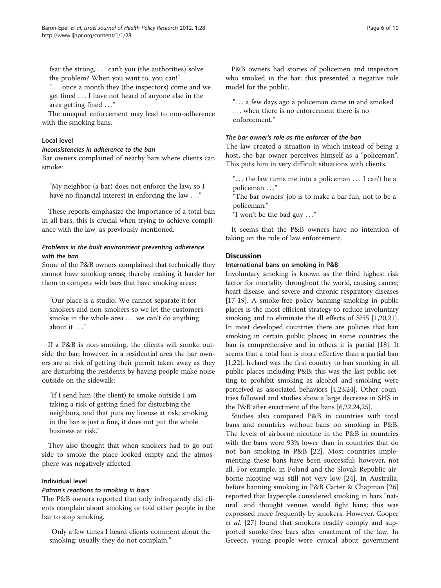fear the strong, ... can't you (the authorities) solve the problem? When you want to, you can!"

"... once a month they (the inspectors) come and we get fined ... I have not heard of anyone else in the area getting fined ..."

The unequal enforcement may lead to non-adherence with the smoking bans.

#### Local level

## Inconsistencies in adherence to the ban

Bar owners complained of nearby bars where clients can smoke:

"My neighbor (a bar) does not enforce the law, so I have no financial interest in enforcing the law ..."

These reports emphasize the importance of a total ban in all bars; this is crucial when trying to achieve compliance with the law, as previously mentioned.

# Problems in the built environment preventing adherence with the ban

Some of the P&B owners complained that technically they cannot have smoking areas; thereby making it harder for them to compete with bars that have smoking areas:

"Our place is a studio. We cannot separate it for smokers and non-smokers so we let the customers smoke in the whole area ... we can't do anything about it ..."

If a P&B is non-smoking, the clients will smoke outside the bar; however, in a residential area the bar owners are at risk of getting their permit taken away as they are disturbing the residents by having people make noise outside on the sidewalk:

"If I send him (the client) to smoke outside I am taking a risk of getting fined for disturbing the neighbors, and that puts my license at risk; smoking in the bar is just a fine, it does not put the whole business at risk."

They also thought that when smokers had to go outside to smoke the place looked empty and the atmosphere was negatively affected.

## Individual level

#### Patron's reactions to smoking in bars

The P&B owners reported that only infrequently did clients complain about smoking or told other people in the bar to stop smoking.

"Only a few times I heard clients comment about the smoking; usually they do not complain."

P&B owners had stories of policemen and inspectors who smoked in the bar; this presented a negative role model for the public.

"... a few days ago a policeman came in and smoked ... when there is no enforcement there is no enforcement."

# The bar owner's role as the enforcer of the ban

The law created a situation in which instead of being a host, the bar owner perceives himself as a "policeman". This puts him in very difficult situations with clients.

"... the law turns me into a policeman ... I can't be a policeman ..."

"The bar owners' job is to make a bar fun, not to be a policeman."

"I won't be the bad guy ..."

It seems that the P&B owners have no intention of taking on the role of law enforcement.

#### **Discussion**

#### International bans on smoking in P&B

Involuntary smoking is known as the third highest risk factor for mortality throughout the world, causing cancer, heart disease, and severe and chronic respiratory diseases [[17](#page-9-0)-[19\]](#page-9-0). A smoke-free policy banning smoking in public places is the most efficient strategy to reduce involuntary smoking and to eliminate the ill effects of SHS [\[1](#page-8-0)[,20,21](#page-9-0)]. In most developed countries there are policies that ban smoking in certain public places; in some countries the ban is comprehensive and in others it is partial [\[18\]](#page-9-0). It seems that a total ban is more effective than a partial ban [[1,](#page-8-0)[22](#page-9-0)]. Ireland was the first country to ban smoking in all public places including P&B; this was the last public setting to prohibit smoking as alcohol and smoking were perceived as associated behaviors [\[4](#page-8-0)[,23,24\]](#page-9-0). Other countries followed and studies show a large decrease in SHS in the P&B after enactment of the bans [\[6,](#page-8-0)[22](#page-9-0),[24,25\]](#page-9-0).

Studies also compared P&B in countries with total bans and countries without bans on smoking in P&B. The levels of airborne nicotine in the P&B in countries with the bans were 93% lower than in countries that do not ban smoking in P&B [[22\]](#page-9-0). Most countries implementing these bans have been successful; however, not all. For example, in Poland and the Slovak Republic airborne nicotine was still not very low [[24](#page-9-0)]. In Australia, before banning smoking in P&B Carter & Chapman [[26](#page-9-0)] reported that laypeople considered smoking in bars "natural" and thought venues would fight bans; this was expressed more frequently by smokers. However, Cooper et al. [\[27](#page-9-0)] found that smokers readily comply and supported smoke-free bars after enactment of the law. In Greece, young people were cynical about government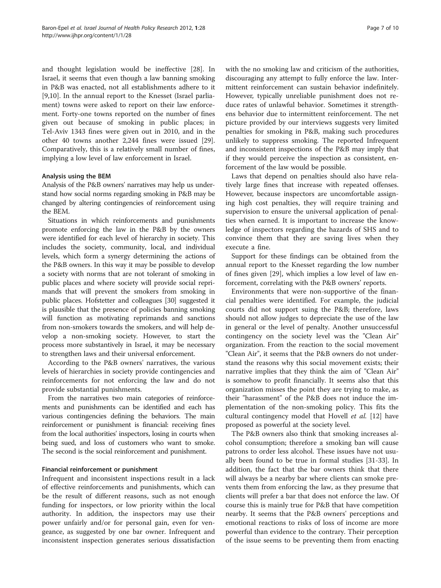and thought legislation would be ineffective [[28](#page-9-0)]. In Israel, it seems that even though a law banning smoking in P&B was enacted, not all establishments adhere to it [[9,10\]](#page-8-0). In the annual report to the Knesset (Israel parliament) towns were asked to report on their law enforcement. Forty-one towns reported on the number of fines given out because of smoking in public places; in Tel-Aviv 1343 fines were given out in 2010, and in the other 40 towns another 2,244 fines were issued [\[29](#page-9-0)]. Comparatively, this is a relatively small number of fines, implying a low level of law enforcement in Israel.

## Analysis using the BEM

Analysis of the P&B owners' narratives may help us understand how social norms regarding smoking in P&B may be changed by altering contingencies of reinforcement using the BEM.

Situations in which reinforcements and punishments promote enforcing the law in the P&B by the owners were identified for each level of hierarchy in society. This includes the society, community, local, and individual levels, which form a synergy determining the actions of the P&B owners. In this way it may be possible to develop a society with norms that are not tolerant of smoking in public places and where society will provide social reprimands that will prevent the smokers from smoking in public places. Hofstetter and colleagues [[30](#page-9-0)] suggested it is plausible that the presence of policies banning smoking will function as motivating reprimands and sanctions from non-smokers towards the smokers, and will help develop a non-smoking society. However, to start the process more substantively in Israel, it may be necessary to strengthen laws and their universal enforcement.

According to the P&B owners' narratives, the various levels of hierarchies in society provide contingencies and reinforcements for not enforcing the law and do not provide substantial punishments.

From the narratives two main categories of reinforcements and punishments can be identified and each has various contingencies defining the behaviors. The main reinforcement or punishment is financial: receiving fines from the local authorities' inspectors, losing in courts when being sued, and loss of customers who want to smoke. The second is the social reinforcement and punishment.

#### Financial reinforcement or punishment

Infrequent and inconsistent inspections result in a lack of effective reinforcements and punishments, which can be the result of different reasons, such as not enough funding for inspectors, or low priority within the local authority. In addition, the inspectors may use their power unfairly and/or for personal gain, even for vengeance, as suggested by one bar owner. Infrequent and inconsistent inspection generates serious dissatisfaction with the no smoking law and criticism of the authorities, discouraging any attempt to fully enforce the law. Intermittent reinforcement can sustain behavior indefinitely. However, typically unreliable punishment does not reduce rates of unlawful behavior. Sometimes it strengthens behavior due to intermittent reinforcement. The net picture provided by our interviews suggests very limited penalties for smoking in P&B, making such procedures unlikely to suppress smoking. The reported Infrequent and inconsistent inspections of the P&B may imply that if they would perceive the inspection as consistent, enforcement of the law would be possible.

Laws that depend on penalties should also have relatively large fines that increase with repeated offenses. However, because inspectors are uncomfortable assigning high cost penalties, they will require training and supervision to ensure the universal application of penalties when earned. It is important to increase the knowledge of inspectors regarding the hazards of SHS and to convince them that they are saving lives when they execute a fine.

Support for these findings can be obtained from the annual report to the Knesset regarding the low number of fines given [[29](#page-9-0)], which implies a low level of law enforcement, correlating with the P&B owners' reports.

Environments that were non-supportive of the financial penalties were identified. For example, the judicial courts did not support suing the P&B; therefore, laws should not allow judges to depreciate the use of the law in general or the level of penalty. Another unsuccessful contingency on the society level was the "Clean Air" organization. From the reaction to the social movement "Clean Air", it seems that the P&B owners do not understand the reasons why this social movement exists; their narrative implies that they think the aim of "Clean Air" is somehow to profit financially. It seems also that this organization misses the point they are trying to make, as their "harassment" of the P&B does not induce the implementation of the non-smoking policy. This fits the cultural contingency model that Hovell et al. [[12\]](#page-8-0) have proposed as powerful at the society level.

The P&B owners also think that smoking increases alcohol consumption; therefore a smoking ban will cause patrons to order less alcohol. These issues have not usually been found to be true in formal studies [\[31](#page-9-0)-[33\]](#page-9-0). In addition, the fact that the bar owners think that there will always be a nearby bar where clients can smoke prevents them from enforcing the law, as they presume that clients will prefer a bar that does not enforce the law. Of course this is mainly true for P&B that have competition nearby. It seems that the P&B owners' perceptions and emotional reactions to risks of loss of income are more powerful than evidence to the contrary. Their perception of the issue seems to be preventing them from enacting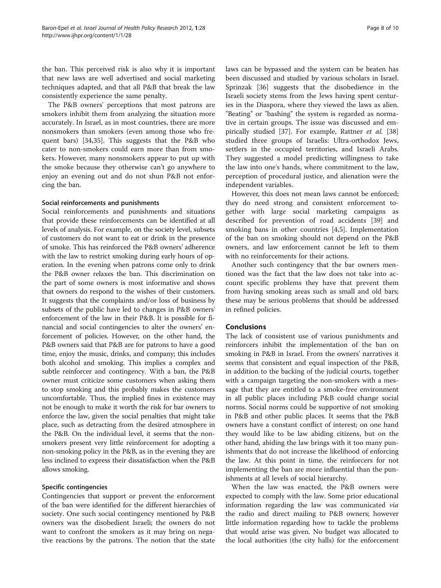the ban. This perceived risk is also why it is important that new laws are well advertised and social marketing techniques adapted, and that all P&B that break the law consistently experience the same penalty.

The P&B owners' perceptions that most patrons are smokers inhibit them from analyzing the situation more accurately. In Israel, as in most countries, there are more nonsmokers than smokers (even among those who frequent bars) [\[34,35](#page-9-0)]. This suggests that the P&B who cater to non-smokers could earn more than from smokers. However, many nonsmokers appear to put up with the smoke because they otherwise can't go anywhere to enjoy an evening out and do not shun P&B not enforcing the ban.

#### Social reinforcements and punishments

Social reinforcements and punishments and situations that provide these reinforcements can be identified at all levels of analysis. For example, on the society level, subsets of customers do not want to eat or drink in the presence of smoke. This has reinforced the P&B owners' adherence with the law to restrict smoking during early hours of operation. In the evening when patrons come only to drink the P&B owner relaxes the ban. This discrimination on the part of some owners is most informative and shows that owners do respond to the wishes of their customers. It suggests that the complaints and/or loss of business by subsets of the public have led to changes in P&B owners' enforcement of the law in their P&B. It is possible for financial and social contingencies to alter the owners' enforcement of policies. However, on the other hand, the P&B owners said that P&B are for patrons to have a good time, enjoy the music, drinks, and company; this includes both alcohol and smoking. This implies a complex and subtle reinforcer and contingency. With a ban, the P&B owner must criticize some customers when asking them to stop smoking and this probably makes the customers uncomfortable. Thus, the implied fines in existence may not be enough to make it worth the risk for bar owners to enforce the law, given the social penalties that might take place, such as detracting from the desired atmosphere in the P&B. On the individual level, it seems that the nonsmokers present very little reinforcement for adopting a non-smoking policy in the P&B, as in the evening they are less inclined to express their dissatisfaction when the P&B allows smoking.

#### Specific contingencies

Contingencies that support or prevent the enforcement of the ban were identified for the different hierarchies of society. One such social contingency mentioned by P&B owners was the disobedient Israeli; the owners do not want to confront the smokers as it may bring on negative reactions by the patrons. The notion that the state laws can be bypassed and the system can be beaten has been discussed and studied by various scholars in Israel. Sprinzak [\[36\]](#page-9-0) suggests that the disobedience in the Israeli society stems from the Jews having spent centuries in the Diaspora, where they viewed the laws as alien. "Beating" or "bashing" the system is regarded as normative in certain groups. The issue was discussed and em-pirically studied [[37\]](#page-9-0). For example, Rattner et al. [[38](#page-9-0)] studied three groups of Israelis: Ultra-orthodox Jews, settlers in the occupied territories, and Israeli Arabs. They suggested a model predicting willingness to take the law into one's hands, where commitment to the law, perception of procedural justice, and alienation were the independent variables.

However, this does not mean laws cannot be enforced; they do need strong and consistent enforcement together with large social marketing campaigns as described for prevention of road accidents [\[39](#page-9-0)] and smoking bans in other countries [\[4,5](#page-8-0)]. Implementation of the ban on smoking should not depend on the P&B owners, and law enforcement cannot be left to them with no reinforcements for their actions.

Another such contingency that the bar owners mentioned was the fact that the law does not take into account specific problems they have that prevent them from having smoking areas such as small and old bars; these may be serious problems that should be addressed in refined policies.

#### Conclusions

The lack of consistent use of various punishments and reinforcers inhibit the implementation of the ban on smoking in P&B in Israel. From the owners' narratives it seems that consistent and equal inspection of the P&B, in addition to the backing of the judicial courts, together with a campaign targeting the non-smokers with a message that they are entitled to a smoke-free environment in all public places including P&B could change social norms. Social norms could be supportive of not smoking in P&B and other public places. It seems that the P&B owners have a constant conflict of interest; on one hand they would like to be law abiding citizens, but on the other hand, abiding the law brings with it too many punishments that do not increase the likelihood of enforcing the law. At this point in time, the reinforcers for not implementing the ban are more influential than the punishments at all levels of social hierarchy.

When the law was enacted, the P&B owners were expected to comply with the law. Some prior educational information regarding the law was communicated via the radio and direct mailing to P&B owners; however little information regarding how to tackle the problems that would arise was given. No budget was allocated to the local authorities (the city halls) for the enforcement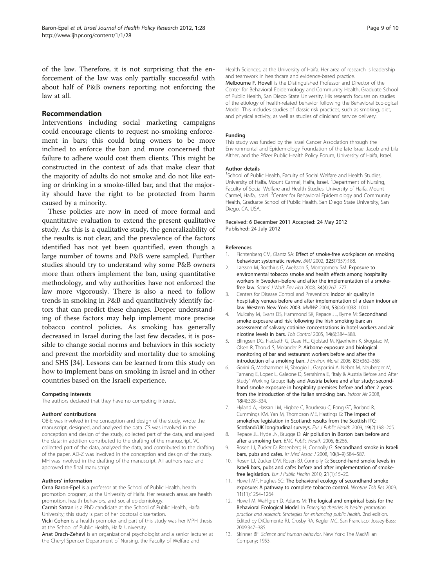<span id="page-8-0"></span>of the law. Therefore, it is not surprising that the enforcement of the law was only partially successful with about half of P&B owners reporting not enforcing the law at all.

#### Recommendation

Interventions including social marketing campaigns could encourage clients to request no-smoking enforcement in bars; this could bring owners to be more inclined to enforce the ban and more concerned that failure to adhere would cost them clients. This might be constructed in the context of ads that make clear that the majority of adults do not smoke and do not like eating or drinking in a smoke-filled bar, and that the majority should have the right to be protected from harm caused by a minority.

These policies are now in need of more formal and quantitative evaluation to extend the present qualitative study. As this is a qualitative study, the generalizability of the results is not clear, and the prevalence of the factors identified has not yet been quantified, even though a large number of towns and P&B were sampled. Further studies should try to understand why some P&B owners more than others implement the ban, using quantitative methodology, and why authorities have not enforced the law more vigorously. There is also a need to follow trends in smoking in P&B and quantitatively identify factors that can predict these changes. Deeper understanding of these factors may help implement more precise tobacco control policies. As smoking has generally decreased in Israel during the last few decades, it is possible to change social norms and behaviors in this society and prevent the morbidity and mortality due to smoking and SHS [[34](#page-9-0)]. Lessons can be learned from this study on how to implement bans on smoking in Israel and in other countries based on the Israeli experience.

#### Competing interests

The authors declared that they have no competing interest.

#### Authors' contributions

OB-E was involved in the conception and design of the study, wrote the manuscript, designed, and analyzed the data. CS was involved in the conception and design of the study, collected part of the data, and analyzed the data; in addition contributed to the drafting of the manuscript. VC collected part of the data, analyzed the data, and contributed to the drafting of the paper. AD-Z was involved in the conception and design of the study. MH was involved in the drafting of the manuscript. All authors read and approved the final manuscript.

#### Authors' information

Orna Baron-Epel is a professor at the School of Public Health, health promotion program, at the University of Haifa. Her research areas are health promotion, health behaviors, and social epidemiology.

Carmit Satran is a PhD candidate at the School of Public Health, Haifa University; this study is part of her doctoral dissertation.

Vicki Cohen is a health promoter and part of this study was her MPH thesis at the School of Public Health, Haifa University.

Anat Drach-Zehavi is an organizational psychologist and a senior lecturer at the Cheryl Spencer Department of Nursing, the Faculty of Welfare and

Health Sciences, at the University of Haifa. Her area of research is leadership and teamwork in healthcare and evidence-based practice. Melbourne F. Hovell is the Distinguished Professor and Director of the Center for Behavioral Epidemiology and Community Health, Graduate School of Public Health, San Diego State University. His research focuses on studies of the etiology of health-related behavior following the Behavioral Ecological Model. This includes studies of classic risk practices, such as smoking, diet, and physical activity, as well as studies of clinicians' service delivery.

#### Funding

This study was funded by the Israel Cancer Association through the Environmental and Epidemiology Foundation of the late Israel Jacob and Lila Alther, and the Pfizer Public Health Policy Forum, University of Haifa, Israel.

#### Author details

<sup>1</sup>School of Public Health, Faculty of Social Welfare and Health Studies University of Haifa, Mount Carmel, Haifa, Israel. <sup>2</sup>Department of Nursing, Faculty of Social Welfare and Health Studies, University of Haifa, Mount Carmel, Haifa, Israel. <sup>3</sup>Center for Behavioral Epidemiology and Community Health, Graduate School of Public Health, San Diego State University, San Diego, CA, USA.

#### Received: 6 December 2011 Accepted: 24 May 2012 Published: 24 July 2012

#### References

- Fichtenberg CM, Glantz SA: Effect of smoke-free workplaces on smoking behaviour: systematic review. BMJ 2002, 325(7357):188.
- 2. Larsson M, Boethius G, Axelsson S, Montgomery SM: Exposure to environmental tobacco smoke and health effects among hospitality workers in Sweden–before and after the implementation of a smokefree law. Scand J Work Env Hea 2008, 34(4):267–277.
- Centers for Disease Control and Prevention: Indoor air quality in hospitality venues before and after implementation of a clean indoor air law–Western New York 2003. MMWR 2004, 53(44):1038–1041.
- 4. Mulcahy M, Evans DS, Hammond SK, Repace JL, Byrne M: Secondhand smoke exposure and risk following the Irish smoking ban: an assessment of salivary cotinine concentrations in hotel workers and air nicotine levels in bars. Tob Control 2005, 14(6):384–388.
- 5. Ellingsen DG, Fladseth G, Daae HL, Gjolstad M, Kjaerheim K, Skogstad M, Olsen R, Thorud S, Molander P: Airborne exposure and biological monitoring of bar and restaurant workers before and after the introduction of a smoking ban. J Environ Monit 2006, 8(3):362-368.
- 6. Gorini G, Moshammer H, Sbrogio L, Gasparrini A, Nebot M, Neuberger M, Tamang E, Lopez L, Galeone D, Serrahima E, "Italy & Austria Before and After Study" Working Group: Italy and Austria before and after study: secondhand smoke exposure in hospitality premises before and after 2 years from the introduction of the Italian smoking ban. Indoor Air 2008, 18(4):328–334.
- 7. Hyland A, Hassan LM, Higbee C, Boudreau C, Fong GT, Borland R, Cummings KM, Yan M, Thompson ME, Hastings G: The impact of smokefree legislation in Scotland: results from the Scottish ITC: Scotland/UK longitudinal surveys. Eur J Public Health 2009, 19(2):198-205.
- 8. Repace JL, Hyde JN, Brugge D: Air pollution in Boston bars before and after a smoking ban. BMC Public Health 2006, 6:266.
- 9. Rosen LJ, Zucker D, Rosenberg H, Connolly G: Secondhand smoke in Israeli bars, pubs and cafes. Isr Med Assoc J 2008, 10(8–9):584–587.
- 10. Rosen LJ, Zucker DM, Rosen BJ, Connolly G: Second-hand smoke levels in Israeli bars, pubs and cafes before and after implementation of smokefree legislation. Eur J Public Health 2010, 21(1):15-20.
- 11. Hovell MF, Hughes SC: The behavioral ecology of secondhand smoke exposure: A pathway to complete tobacco control. Nicotine Tob Res 2009, 11(11):1254–1264.
- 12. Hovell M, Wahlgren D, Adams M: The logical and empirical basis for the Behavioral Ecological Model. In Emerging theories in health promotion practice and research: Strategies for enhancing public health. 2nd edition. Edited by DiClemente RJ, Crosby RA, Kegler MC. San Francisco: Jossey-Bass; 2009:347–385.
- 13. Skinner BF: Science and human behavior. New York: The MacMillan Company; 1953.